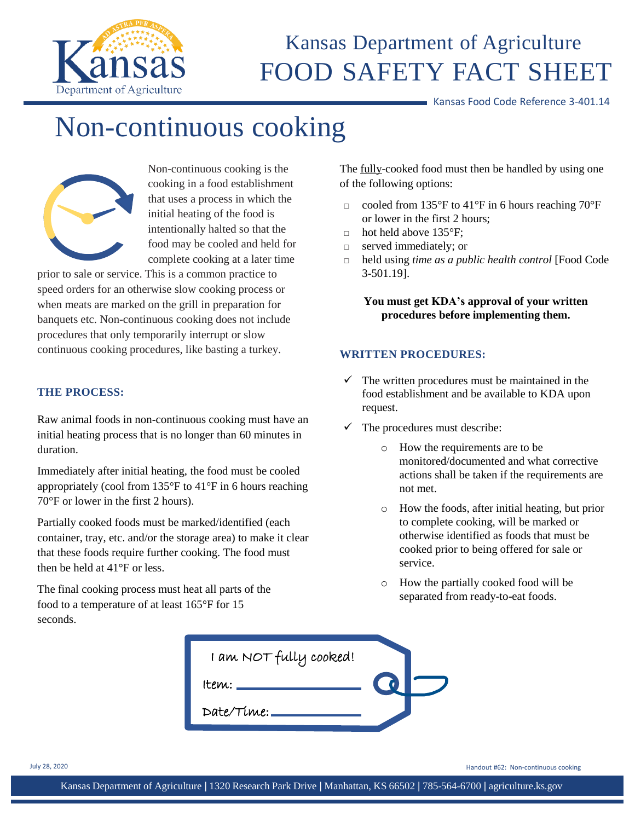

## Kansas Department of Agriculture FOOD SAFETY FACT SHEET

Kansas Food Code Reference 3-401.14

# Non-continuous cooking



Non-continuous cooking is the cooking in a food establishment that uses a process in which the initial heating of the food is intentionally halted so that the food may be cooled and held for complete cooking at a later time

prior to sale or service. This is a common practice to speed orders for an otherwise slow cooking process or when meats are marked on the grill in preparation for banquets etc. Non-continuous cooking does not include procedures that only temporarily interrupt or slow continuous cooking procedures, like basting a turkey.

#### **THE PROCESS:**

Raw animal foods in non-continuous cooking must have an initial heating process that is no longer than 60 minutes in duration.

Immediately after initial heating, the food must be cooled appropriately (cool from 135°F to 41°F in 6 hours reaching 70°F or lower in the first 2 hours).

Partially cooked foods must be marked/identified (each container, tray, etc. and/or the storage area) to make it clear that these foods require further cooking. The food must then be held at 41°F or less.

The final cooking process must heat all parts of the food to a temperature of at least 165°F for 15 seconds.

The <u>fully-cooked</u> food must then be handled by using one of the following options:

- □ cooled from 135°F to 41°F in 6 hours reaching 70°F or lower in the first 2 hours;
- $\Box$  hot held above 135°F;
- □ served immediately; or
- □ held using *time as a public health control* [Food Code 3-501.19].

**You must get KDA's approval of your written procedures before implementing them.**

#### **WRITTEN PROCEDURES:**

- $\checkmark$  The written procedures must be maintained in the food establishment and be available to KDA upon request.
- $\checkmark$  The procedures must describe:
	- o How the requirements are to be monitored/documented and what corrective actions shall be taken if the requirements are not met.
	- o How the foods, after initial heating, but prior to complete cooking, will be marked or otherwise identified as foods that must be cooked prior to being offered for sale or service.
	- o How the partially cooked food will be separated from ready-to-eat foods.